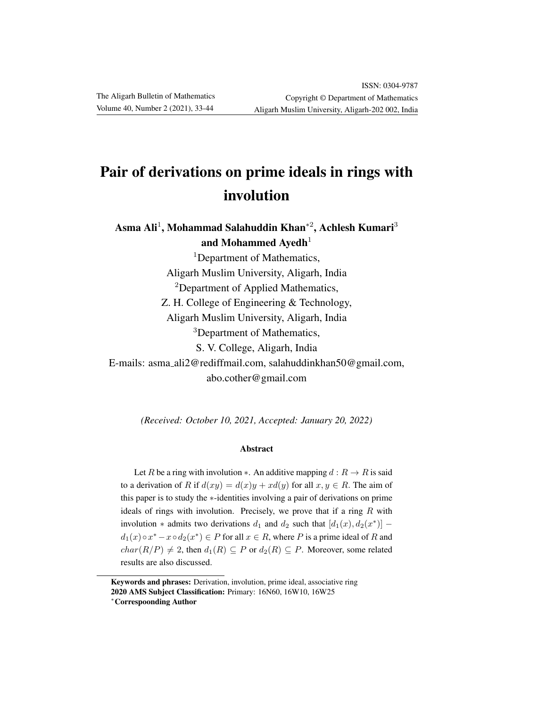# Pair of derivations on prime ideals in rings with involution

Asma Ali<sup>1</sup>, Mohammad Salahuddin Khan\*<sup>2</sup>, Achlesh Kumari<sup>3</sup> and Mohammed Ayedh $1$ 

<sup>1</sup>Department of Mathematics, Aligarh Muslim University, Aligarh, India <sup>2</sup>Department of Applied Mathematics, Z. H. College of Engineering & Technology, Aligarh Muslim University, Aligarh, India <sup>3</sup>Department of Mathematics, S. V. College, Aligarh, India E-mails: asma ali2@rediffmail.com, salahuddinkhan50@gmail.com, abo.cother@gmail.com

*(Received: October 10, 2021, Accepted: January 20, 2022)*

#### Abstract

Let R be a ring with involution  $*$ . An additive mapping  $d: R \to R$  is said to a derivation of R if  $d(xy) = d(x)y + xd(y)$  for all  $x, y \in R$ . The aim of this paper is to study the ∗-identities involving a pair of derivations on prime ideals of rings with involution. Precisely, we prove that if a ring  $R$  with involution  $*$  admits two derivations  $d_1$  and  $d_2$  such that  $[d_1(x), d_2(x^*)]$  –  $d_1(x) \circ x^* - x \circ d_2(x^*) \in P$  for all  $x \in R$ , where P is a prime ideal of R and  $char(R/P) \neq 2$ , then  $d_1(R) \subseteq P$  or  $d_2(R) \subseteq P$ . Moreover, some related results are also discussed.

Keywords and phrases: Derivation, involution, prime ideal, associative ring 2020 AMS Subject Classification: Primary: 16N60, 16W10, 16W25 <sup>∗</sup>Correspoonding Author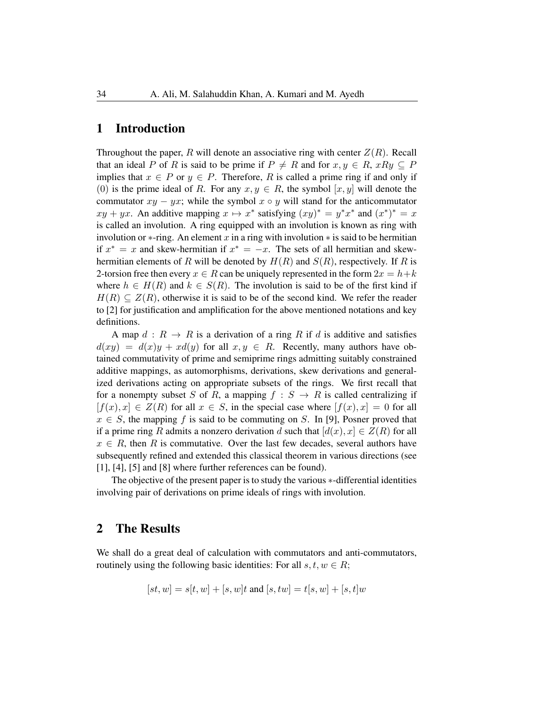### 1 Introduction

Throughout the paper, R will denote an associative ring with center  $Z(R)$ . Recall that an ideal P of R is said to be prime if  $P \neq R$  and for  $x, y \in R$ ,  $xRy \subseteq P$ implies that  $x \in P$  or  $y \in P$ . Therefore, R is called a prime ring if and only if (0) is the prime ideal of R. For any  $x, y \in R$ , the symbol  $[x, y]$  will denote the commutator  $xy - yx$ ; while the symbol  $x \circ y$  will stand for the anticommutator  $xy + yx$ . An additive mapping  $x \mapsto x^*$  satisfying  $(xy)^* = y^*x^*$  and  $(x^*)^* = x$ is called an involution. A ring equipped with an involution is known as ring with involution or  $\ast$ -ring. An element x in a ring with involution  $\ast$  is said to be hermitian if  $x^* = x$  and skew-hermitian if  $x^* = -x$ . The sets of all hermitian and skewhermitian elements of R will be denoted by  $H(R)$  and  $S(R)$ , respectively. If R is 2-torsion free then every  $x \in R$  can be uniquely represented in the form  $2x = h+k$ where  $h \in H(R)$  and  $k \in S(R)$ . The involution is said to be of the first kind if  $H(R) \subseteq Z(R)$ , otherwise it is said to be of the second kind. We refer the reader to [2] for justification and amplification for the above mentioned notations and key definitions.

A map  $d: R \to R$  is a derivation of a ring R if d is additive and satisfies  $d(xy) = d(x)y + xd(y)$  for all  $x, y \in R$ . Recently, many authors have obtained commutativity of prime and semiprime rings admitting suitably constrained additive mappings, as automorphisms, derivations, skew derivations and generalized derivations acting on appropriate subsets of the rings. We first recall that for a nonempty subset S of R, a mapping  $f : S \to R$  is called centralizing if  $[f(x), x] \in Z(R)$  for all  $x \in S$ , in the special case where  $[f(x), x] = 0$  for all  $x \in S$ , the mapping f is said to be commuting on S. In [9], Posner proved that if a prime ring R admits a nonzero derivation d such that  $[d(x), x] \in Z(R)$  for all  $x \in R$ , then R is commutative. Over the last few decades, several authors have subsequently refined and extended this classical theorem in various directions (see [1], [4], [5] and [8] where further references can be found).

The objective of the present paper is to study the various  $\ast$ -differential identities involving pair of derivations on prime ideals of rings with involution.

#### 2 The Results

We shall do a great deal of calculation with commutators and anti-commutators, routinely using the following basic identities: For all  $s, t, w \in R$ ;

$$
[st, w] = s[t, w] + [s, w]t
$$
 and  $[s, tw] = t[s, w] + [s, t]w$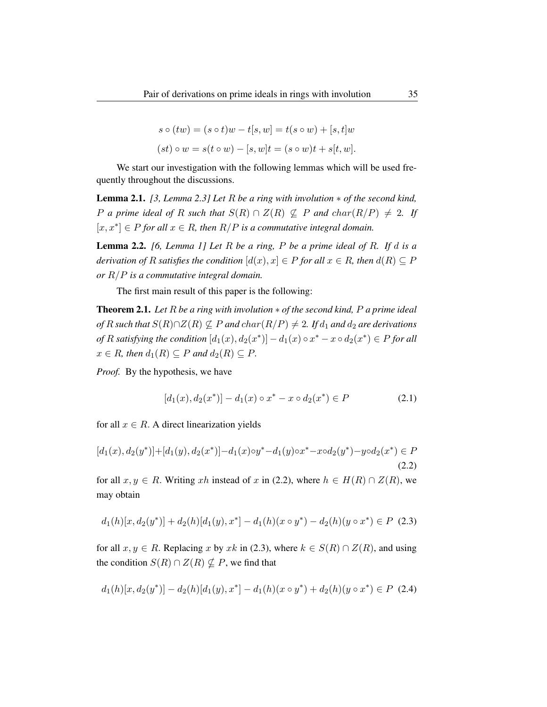$$
s \circ (tw) = (s \circ t)w - t[s, w] = t(s \circ w) + [s, t]w
$$
  

$$
(st) \circ w = s(t \circ w) - [s, w]t = (s \circ w)t + s[t, w].
$$

We start our investigation with the following lemmas which will be used frequently throughout the discussions.

Lemma 2.1. *[3, Lemma 2.3] Let* R *be a ring with involution* ∗ *of the second kind, P a* prime ideal of R such that  $S(R) \cap Z(R) \nsubseteq P$  and  $char(R/P) \neq 2$ . If [x, x<sup>∗</sup> ] ∈ P *for all* x ∈ R*, then* R/P *is a commutative integral domain.*

Lemma 2.2. *[6, Lemma 1] Let* R *be a ring,* P *be a prime ideal of* R*. If* d *is a derivation of* R *satisfies the condition*  $[d(x), x] \in P$  *for all*  $x \in R$ *, then*  $d(R) \subseteq P$ *or* R/P *is a commutative integral domain.*

The first main result of this paper is the following:

Theorem 2.1. *Let* R *be a ring with involution* ∗ *of the second kind,* P *a prime ideal of* R such that  $S(R) \cap Z(R) \nsubseteq P$  *and*  $char(R/P) \neq 2$ *. If*  $d_1$  *and*  $d_2$  *are derivations of* R satisfying the condition  $[d_1(x), d_2(x^*)] - d_1(x) \circ x^* - x \circ d_2(x^*) \in P$  for all  $x \in R$ , then  $d_1(R) \subseteq P$  and  $d_2(R) \subseteq P$ .

*Proof.* By the hypothesis, we have

$$
[d_1(x), d_2(x^*)] - d_1(x) \circ x^* - x \circ d_2(x^*) \in P \tag{2.1}
$$

for all  $x \in R$ . A direct linearization yields

$$
[d_1(x), d_2(y^*)] + [d_1(y), d_2(x^*)] - d_1(x) \circ y^* - d_1(y) \circ x^* - x \circ d_2(y^*) - y \circ d_2(x^*) \in P
$$
\n(2.2)

for all  $x, y \in R$ . Writing xh instead of x in (2.2), where  $h \in H(R) \cap Z(R)$ , we may obtain

$$
d_1(h)[x, d_2(y^*)] + d_2(h)[d_1(y), x^*] - d_1(h)(x \circ y^*) - d_2(h)(y \circ x^*) \in P \tag{2.3}
$$

for all  $x, y \in R$ . Replacing x by xk in (2.3), where  $k \in S(R) \cap Z(R)$ , and using the condition  $S(R) \cap Z(R) \nsubseteq P$ , we find that

$$
d_1(h)[x, d_2(y^*)] - d_2(h)[d_1(y), x^*] - d_1(h)(x \circ y^*) + d_2(h)(y \circ x^*) \in P
$$
 (2.4)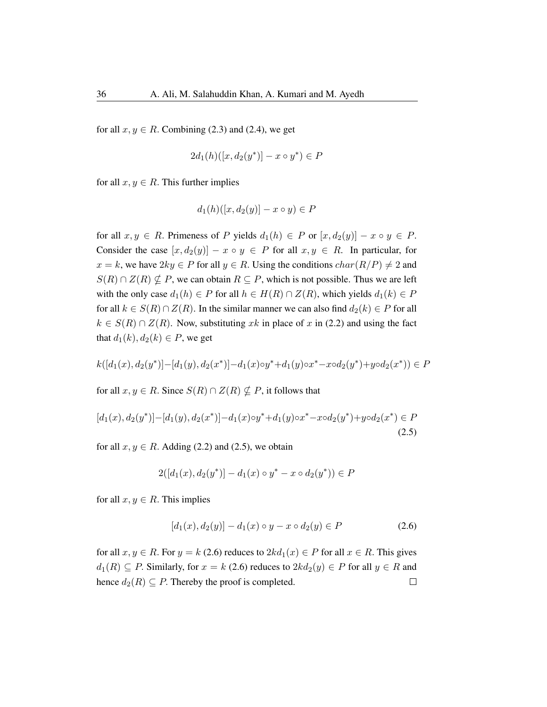for all  $x, y \in R$ . Combining (2.3) and (2.4), we get

$$
2d_1(h)([x, d_2(y^*)] - x \circ y^*) \in P
$$

for all  $x, y \in R$ . This further implies

$$
d_1(h)([x, d_2(y)] - x \circ y) \in P
$$

for all  $x, y \in R$ . Primeness of P yields  $d_1(h) \in P$  or  $[x, d_2(y)] - x \circ y \in P$ . Consider the case  $[x, d_2(y)] - x \circ y \in P$  for all  $x, y \in R$ . In particular, for  $x = k$ , we have  $2ky \in P$  for all  $y \in R$ . Using the conditions  $char(R/P) \neq 2$  and  $S(R) \cap Z(R) \nsubseteq P$ , we can obtain  $R \subseteq P$ , which is not possible. Thus we are left with the only case  $d_1(h) \in P$  for all  $h \in H(R) \cap Z(R)$ , which yields  $d_1(k) \in P$ for all  $k \in S(R) \cap Z(R)$ . In the similar manner we can also find  $d_2(k) \in P$  for all  $k \in S(R) \cap Z(R)$ . Now, substituting xk in place of x in (2.2) and using the fact that  $d_1(k)$ ,  $d_2(k) \in P$ , we get

$$
k([d_1(x), d_2(y^*)] - [d_1(y), d_2(x^*)] - d_1(x) \circ y^* + d_1(y) \circ x^* - x \circ d_2(y^*) + y \circ d_2(x^*)) \in P
$$

for all  $x, y \in R$ . Since  $S(R) \cap Z(R) \nsubseteq P$ , it follows that

$$
[d_1(x), d_2(y^*)] - [d_1(y), d_2(x^*)] - d_1(x) \circ y^* + d_1(y) \circ x^* - x \circ d_2(y^*) + y \circ d_2(x^*) \in P
$$
\n(2.5)

for all  $x, y \in R$ . Adding (2.2) and (2.5), we obtain

$$
2([d_1(x), d_2(y^*)] - d_1(x) \circ y^* - x \circ d_2(y^*)) \in P
$$

for all  $x, y \in R$ . This implies

$$
[d_1(x), d_2(y)] - d_1(x) \circ y - x \circ d_2(y) \in P \tag{2.6}
$$

for all  $x, y \in R$ . For  $y = k$  (2.6) reduces to  $2k d_1(x) \in P$  for all  $x \in R$ . This gives  $d_1(R) \subseteq P$ . Similarly, for  $x = k$  (2.6) reduces to  $2kd_2(y) \in P$  for all  $y \in R$  and hence  $d_2(R) \subseteq P$ . Thereby the proof is completed.  $\Box$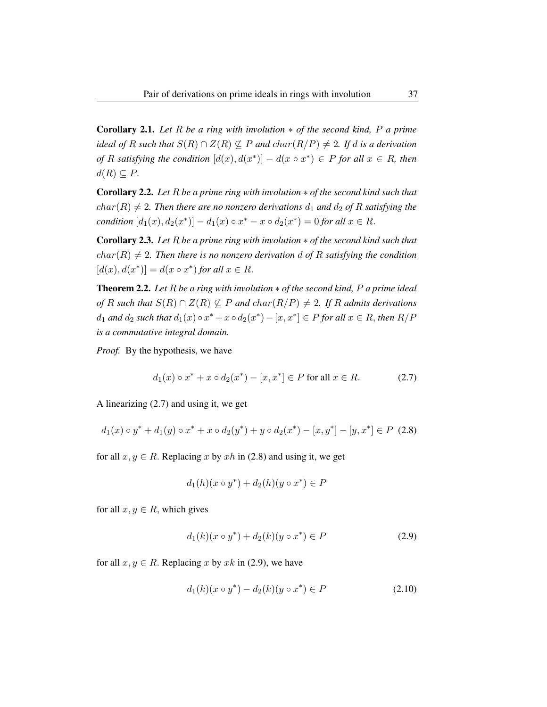Corollary 2.1. *Let* R *be a ring with involution* ∗ *of the second kind,* P *a prime ideal of* R *such that*  $S(R) \cap Z(R) \nsubseteq P$  *and*  $char(R/P) \neq 2$ *. If d is a derivation of* R satisfying the condition  $[d(x), d(x^*)] - d(x \circ x^*) \in P$  for all  $x \in R$ , then  $d(R) \subseteq P$ .

Corollary 2.2. *Let* R *be a prime ring with involution* ∗ *of the second kind such that*  $char(R) \neq 2$ . Then there are no nonzero derivations  $d_1$  and  $d_2$  of R satisfying the *condition*  $[d_1(x), d_2(x^*)] - d_1(x) \circ x^* - x \circ d_2(x^*) = 0$  *for all*  $x \in R$ .

Corollary 2.3. *Let* R *be a prime ring with involution* ∗ *of the second kind such that*  $char(R) \neq 2$ . Then there is no nonzero derivation d of R satisfying the condition  $[d(x), d(x^*)] = d(x \circ x^*)$  *for all*  $x \in R$ .

Theorem 2.2. *Let* R *be a ring with involution* ∗ *of the second kind,* P *a prime ideal of* R such that  $S(R) ∩ Z(R) \nsubseteq P$  and  $char(R/P) \neq 2$ . If R admits derivations  $d_1$  and  $d_2$  such that  $d_1(x) \circ x^* + x \circ d_2(x^*) - [x, x^*] \in P$  for all  $x \in R$ , then  $R/P$ *is a commutative integral domain.*

*Proof.* By the hypothesis, we have

$$
d_1(x) \circ x^* + x \circ d_2(x^*) - [x, x^*] \in P \text{ for all } x \in R. \tag{2.7}
$$

A linearizing (2.7) and using it, we get

$$
d_1(x) \circ y^* + d_1(y) \circ x^* + x \circ d_2(y^*) + y \circ d_2(x^*) - [x, y^*] - [y, x^*] \in P \tag{2.8}
$$

for all  $x, y \in R$ . Replacing x by xh in (2.8) and using it, we get

$$
d_1(h)(x \circ y^*) + d_2(h)(y \circ x^*) \in P
$$

for all  $x, y \in R$ , which gives

$$
d_1(k)(x \circ y^*) + d_2(k)(y \circ x^*) \in P \tag{2.9}
$$

for all  $x, y \in R$ . Replacing x by xk in (2.9), we have

$$
d_1(k)(x \circ y^*) - d_2(k)(y \circ x^*) \in P \tag{2.10}
$$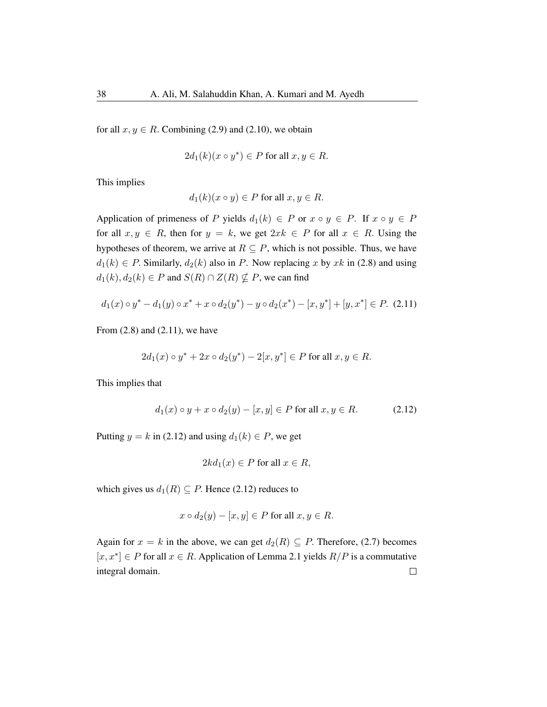for all  $x, y \in R$ . Combining (2.9) and (2.10), we obtain

$$
2d_1(k)(x\circ y^*)\in P\text{ for all }x,y\in R.
$$

This implies

$$
d_1(k)(x \circ y) \in P \text{ for all } x, y \in R
$$

Application of primeness of P yields  $d_1(k) \in P$  or  $x \circ y \in P$ . If  $x \circ y \in P$ for all  $x, y \in R$ , then for  $y = k$ , we get  $2xk \in P$  for all  $x \in R$ . Using the hypotheses of theorem, we arrive at  $R \subseteq P$ , which is not possible. Thus, we have  $d_1(k) \in P$ . Similarly,  $d_2(k)$  also in P. Now replacing x by xk in (2.8) and using  $d_1(k), d_2(k) \in P$  and  $S(R) \cap Z(R) \nsubseteq P$ , we can find

$$
d_1(x) \circ y^* - d_1(y) \circ x^* + x \circ d_2(y^*) - y \circ d_2(x^*) - [x, y^*] + [y, x^*] \in P. \tag{2.11}
$$

From  $(2.8)$  and  $(2.11)$ , we have

$$
2d_1(x) \circ y^* + 2x \circ d_2(y^*) - 2[x, y^*] \in P \text{ for all } x, y \in R.
$$

This implies that

$$
d_1(x) \circ y + x \circ d_2(y) - [x, y] \in P \text{ for all } x, y \in R. \tag{2.12}
$$

Putting  $y = k$  in (2.12) and using  $d_1(k) \in P$ , we get

$$
2kd_1(x) \in P \text{ for all } x \in R,
$$

which gives us  $d_1(R) \subseteq P$ . Hence (2.12) reduces to

$$
x \circ d_2(y) - [x, y] \in P \text{ for all } x, y \in R.
$$

Again for  $x = k$  in the above, we can get  $d_2(R) \subseteq P$ . Therefore, (2.7) becomes [ $x, x^*$ ] ∈ P for all  $x \in R$ . Application of Lemma 2.1 yields  $R/P$  is a commutative integral domain. $\Box$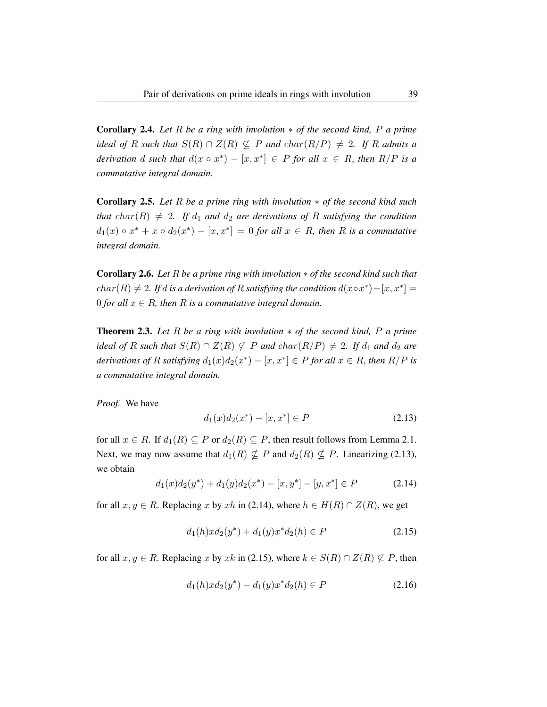Corollary 2.4. *Let* R *be a ring with involution* ∗ *of the second kind,* P *a prime ideal of* R *such that*  $S(R) \cap Z(R) \nsubseteq P$  *and*  $char(R/P) \neq 2$ *. If* R *admits a derivation d such that*  $d(x \circ x^*) - [x, x^*] \in P$  *for all*  $x \in R$ *, then*  $R/P$  *is a commutative integral domain.*

Corollary 2.5. *Let* R *be a prime ring with involution* ∗ *of the second kind such that*  $char(R) \neq 2$ . If  $d_1$  *and*  $d_2$  *are derivations of* R *satisfying the condition*  $d_1(x) \circ x^* + x \circ d_2(x^*) - [x, x^*] = 0$  *for all*  $x \in R$ *, then* R *is a commutative integral domain.*

Corollary 2.6. *Let* R *be a prime ring with involution* ∗ *of the second kind such that*  $char(R) \neq 2$ . If d is a derivation of R satisfying the condition  $d(x \circ x^*) - [x, x^*] =$ 0 *for all*  $x \in R$ , then R *is a commutative integral domain.* 

Theorem 2.3. *Let* R *be a ring with involution* ∗ *of the second kind,* P *a prime ideal of* R *such that*  $S(R) \cap Z(R) \nsubseteq P$  *and*  $char(R/P) \neq 2$ *. If*  $d_1$  *and*  $d_2$  *are derivations of* R *satisfying*  $d_1(x)d_2(x^*) - [x, x^*] \in P$  *for all*  $x \in R$ *, then*  $R/P$  *is a commutative integral domain.*

*Proof.* We have

$$
d_1(x)d_2(x^*) - [x, x^*] \in P \tag{2.13}
$$

for all  $x \in R$ . If  $d_1(R) \subseteq P$  or  $d_2(R) \subseteq P$ , then result follows from Lemma 2.1. Next, we may now assume that  $d_1(R) \nsubseteq P$  and  $d_2(R) \nsubseteq P$ . Linearizing (2.13), we obtain

$$
d_1(x)d_2(y^*) + d_1(y)d_2(x^*) - [x, y^*] - [y, x^*] \in P \tag{2.14}
$$

for all  $x, y \in R$ . Replacing x by xh in (2.14), where  $h \in H(R) \cap Z(R)$ , we get

$$
d_1(h)x d_2(y^*) + d_1(y)x^* d_2(h) \in P \tag{2.15}
$$

for all  $x, y \in R$ . Replacing x by xk in (2.15), where  $k \in S(R) \cap Z(R) \nsubseteq P$ , then

$$
d_1(h)x d_2(y^*) - d_1(y)x^* d_2(h) \in P \tag{2.16}
$$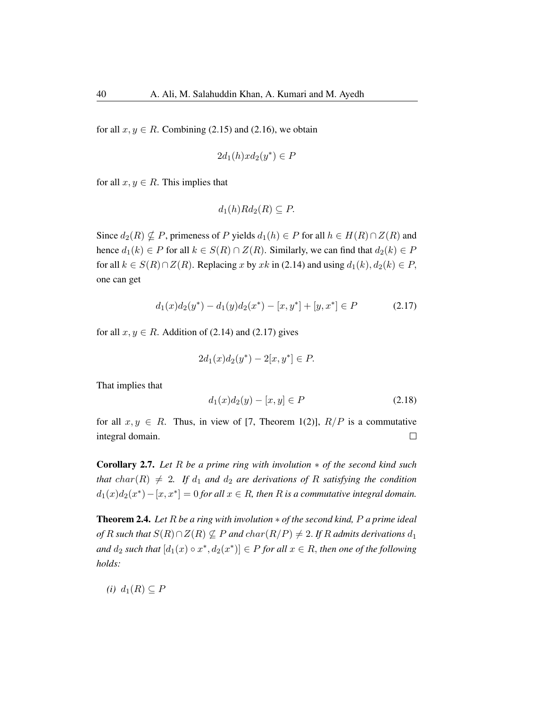for all  $x, y \in R$ . Combining (2.15) and (2.16), we obtain

$$
2d_1(h)xd_2(y^*)\in P
$$

for all  $x, y \in R$ . This implies that

$$
d_1(h)R d_2(R) \subseteq P.
$$

Since  $d_2(R) \nsubseteq P$ , primeness of P yields  $d_1(h) \in P$  for all  $h \in H(R) \cap Z(R)$  and hence  $d_1(k) \in P$  for all  $k \in S(R) \cap Z(R)$ . Similarly, we can find that  $d_2(k) \in P$ for all  $k \in S(R) \cap Z(R)$ . Replacing x by xk in (2.14) and using  $d_1(k), d_2(k) \in P$ , one can get

$$
d_1(x)d_2(y^*) - d_1(y)d_2(x^*) - [x, y^*] + [y, x^*] \in P \tag{2.17}
$$

for all  $x, y \in R$ . Addition of (2.14) and (2.17) gives

$$
2d_1(x)d_2(y^*) - 2[x, y^*] \in P.
$$

That implies that

$$
d_1(x)d_2(y) - [x, y] \in P \tag{2.18}
$$

for all  $x, y \in R$ . Thus, in view of [7, Theorem 1(2)],  $R/P$  is a commutative integral domain.  $\Box$ 

Corollary 2.7. *Let* R *be a prime ring with involution* ∗ *of the second kind such that*  $char(R) \neq 2$ *. If*  $d_1$  *and*  $d_2$  *are derivations of* R *satisfying the condition*  $d_1(x)d_2(x^*) - [x, x^*] = 0$  for all  $x \in R$ , then R is a commutative integral domain.

Theorem 2.4. *Let* R *be a ring with involution* ∗ *of the second kind,* P *a prime ideal of* R such that  $S(R) ∩ Z(R) \nsubseteq P$  and  $char(R/P) \neq 2$ . If R admits derivations  $d_1$ and  $d_2$  such that  $[d_1(x) \circ x^*, d_2(x^*)] \in P$  *for all*  $x \in R$ , then one of the following *holds:*

$$
(i) d_1(R) \subseteq P
$$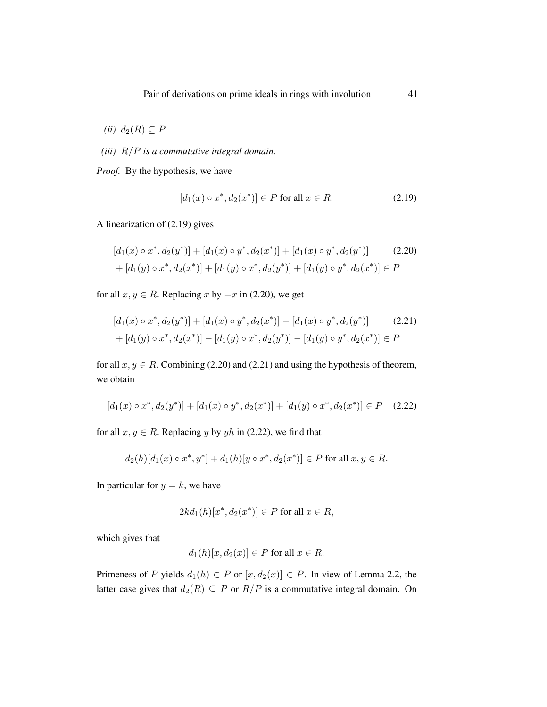*(ii)*  $d_2(R) \subseteq P$ 

*(iii)* R/P *is a commutative integral domain.*

*Proof.* By the hypothesis, we have

$$
[d_1(x) \circ x^*, d_2(x^*)] \in P \text{ for all } x \in R.
$$
 (2.19)

A linearization of (2.19) gives

$$
[d_1(x) \circ x^*, d_2(y^*)] + [d_1(x) \circ y^*, d_2(x^*)] + [d_1(x) \circ y^*, d_2(y^*)]
$$
(2.20)  
+ 
$$
[d_1(y) \circ x^*, d_2(x^*)] + [d_1(y) \circ x^*, d_2(y^*)] + [d_1(y) \circ y^*, d_2(x^*)] \in P
$$

for all  $x, y \in R$ . Replacing x by  $-x$  in (2.20), we get

$$
[d_1(x) \circ x^*, d_2(y^*)] + [d_1(x) \circ y^*, d_2(x^*)] - [d_1(x) \circ y^*, d_2(y^*)]
$$
(2.21)  
+ 
$$
[d_1(y) \circ x^*, d_2(x^*)] - [d_1(y) \circ x^*, d_2(y^*)] - [d_1(y) \circ y^*, d_2(x^*)] \in P
$$

for all  $x, y \in R$ . Combining (2.20) and (2.21) and using the hypothesis of theorem, we obtain

$$
[d_1(x) \circ x^*, d_2(y^*)] + [d_1(x) \circ y^*, d_2(x^*)] + [d_1(y) \circ x^*, d_2(x^*)] \in P \quad (2.22)
$$

for all  $x, y \in R$ . Replacing y by yh in (2.22), we find that

$$
d_2(h)[d_1(x) \circ x^*, y^*] + d_1(h)[y \circ x^*, d_2(x^*)] \in P \text{ for all } x, y \in R.
$$

In particular for  $y = k$ , we have

$$
2kd_1(h)[x^*, d_2(x^*)] \in P \text{ for all } x \in R,
$$

which gives that

$$
d_1(h)[x, d_2(x)] \in P \text{ for all } x \in R.
$$

Primeness of P yields  $d_1(h) \in P$  or  $[x, d_2(x)] \in P$ . In view of Lemma 2.2, the latter case gives that  $d_2(R) \subseteq P$  or  $R/P$  is a commutative integral domain. On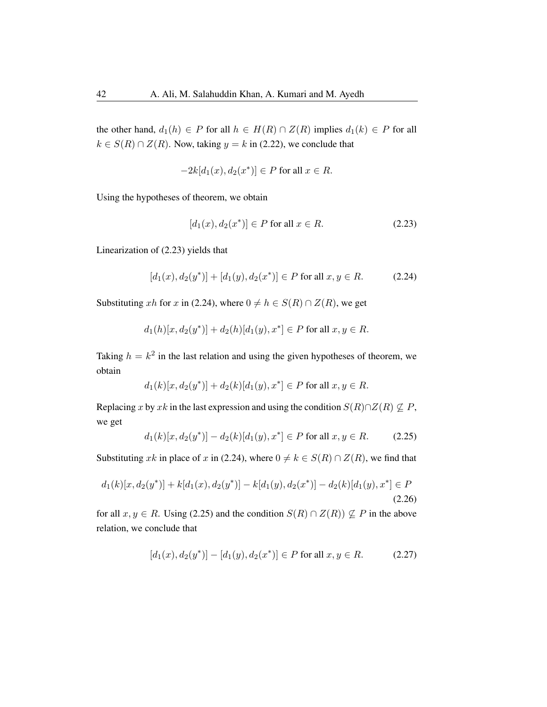the other hand,  $d_1(h) \in P$  for all  $h \in H(R) \cap Z(R)$  implies  $d_1(k) \in P$  for all  $k \in S(R) \cap Z(R)$ . Now, taking  $y = k$  in (2.22), we conclude that

$$
-2k[d_1(x),d_2(x^*)] \in P \text{ for all } x \in R.
$$

Using the hypotheses of theorem, we obtain

$$
[d_1(x), d_2(x^*)] \in P \text{ for all } x \in R.
$$
 (2.23)

Linearization of (2.23) yields that

$$
[d_1(x), d_2(y^*)] + [d_1(y), d_2(x^*)] \in P \text{ for all } x, y \in R. \tag{2.24}
$$

Substituting xh for x in (2.24), where  $0 \neq h \in S(R) \cap Z(R)$ , we get

$$
d_1(h)[x, d_2(y^*)] + d_2(h)[d_1(y), x^*] \in P \text{ for all } x, y \in R.
$$

Taking  $h = k^2$  in the last relation and using the given hypotheses of theorem, we obtain

$$
d_1(k)[x, d_2(y^*)] + d_2(k)[d_1(y), x^*] \in P \text{ for all } x, y \in R.
$$

Replacing x by xk in the last expression and using the condition  $S(R) \cap Z(R) \nsubseteq P$ , we get

$$
d_1(k)[x, d_2(y^*)] - d_2(k)[d_1(y), x^*] \in P \text{ for all } x, y \in R. \tag{2.25}
$$

Substituting xk in place of x in (2.24), where  $0 \neq k \in S(R) \cap Z(R)$ , we find that

$$
d_1(k)[x, d_2(y^*)] + k[d_1(x), d_2(y^*)] - k[d_1(y), d_2(x^*)] - d_2(k)[d_1(y), x^*] \in P
$$
\n(2.26)

for all  $x, y \in R$ . Using (2.25) and the condition  $S(R) \cap Z(R) \nsubseteq P$  in the above relation, we conclude that

$$
[d_1(x), d_2(y^*)] - [d_1(y), d_2(x^*)] \in P \text{ for all } x, y \in R. \tag{2.27}
$$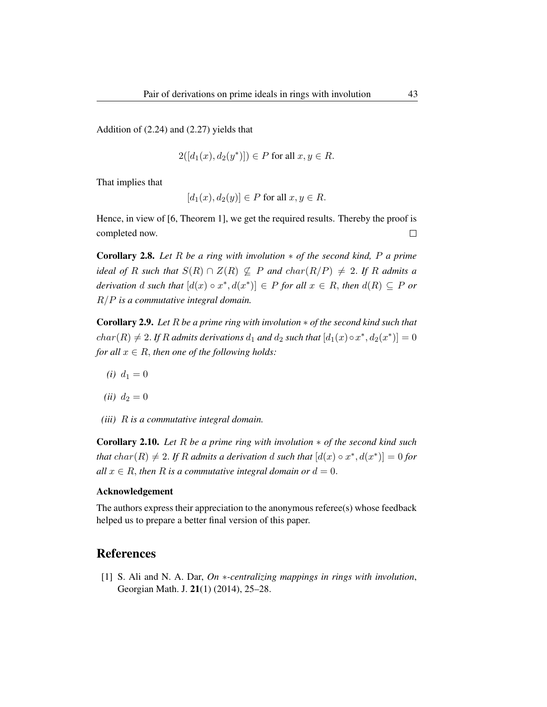Addition of (2.24) and (2.27) yields that

$$
2([d_1(x), d_2(y^*)]) \in P \text{ for all } x, y \in R.
$$

That implies that

$$
[d_1(x), d_2(y)] \in P \text{ for all } x, y \in R.
$$

Hence, in view of [6, Theorem 1], we get the required results. Thereby the proof is completed now.  $\Box$ 

Corollary 2.8. *Let* R *be a ring with involution* ∗ *of the second kind,* P *a prime ideal of* R *such that*  $S(R) \cap Z(R) \nsubseteq P$  *and*  $char(R/P) \neq 2$ . If R *admits a derivation d such that*  $[d(x) \circ x^*, d(x^*)] \in P$  *for all*  $x \in R$ *, then*  $d(R) \subseteq P$  *or* R/P *is a commutative integral domain.*

Corollary 2.9. *Let* R *be a prime ring with involution* ∗ *of the second kind such that*  $char(R) \neq 2$ . If R admits derivations  $d_1$  and  $d_2$  such that  $[d_1(x) \circ x^*, d_2(x^*)] = 0$ *for all*  $x \in R$ *, then one of the following holds:* 

- *(i)*  $d_1 = 0$
- *(ii)*  $d_2 = 0$
- *(iii)* R *is a commutative integral domain.*

Corollary 2.10. *Let* R *be a prime ring with involution* ∗ *of the second kind such that*  $char(R) \neq 2$ . If R admits a derivation d such that  $[d(x) \circ x^*, d(x^*)] = 0$  for *all*  $x \in R$ , *then* R *is a commutative integral domain or*  $d = 0$ .

#### Acknowledgement

The authors express their appreciation to the anonymous referee(s) whose feedback helped us to prepare a better final version of this paper.

## References

[1] S. Ali and N. A. Dar, *On* ∗*-centralizing mappings in rings with involution*, Georgian Math. J. 21(1) (2014), 25–28.